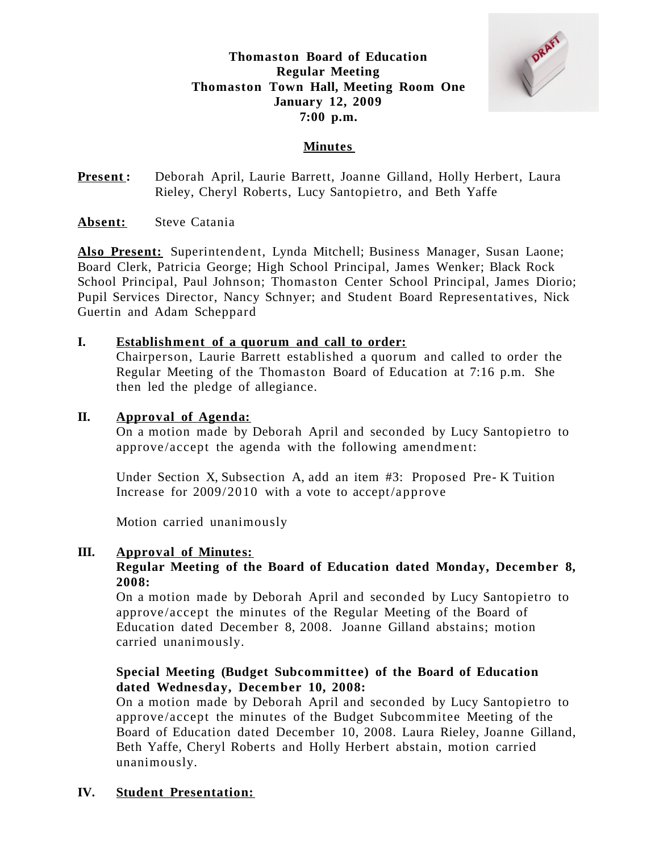# **Thomaston Board of Education Regular Meeting Thomaston Town Hall, Meeting Room One January 12, 2009 7:00 p.m.**



## **Minutes**

**Present:** Deborah April, Laurie Barrett, Joanne Gilland, Holly Herbert, Laura Rieley, Cheryl Roberts, Lucy Santopietro, and Beth Yaffe

**Absent:** Steve Catania

**Also Present:** Superintendent, Lynda Mitchell; Business Manager, Susan Laone; Board Clerk, Patricia George; High School Principal, James Wenker; Black Rock School Principal, Paul Johnson; Thomaston Center School Principal, James Diorio; Pupil Services Director, Nancy Schnyer; and Student Board Representatives, Nick Guertin and Adam Scheppard

## **I. Establishment of a quorum and call to order:**

Chairperson, Laurie Barrett established a quorum and called to order the Regular Meeting of the Thomaston Board of Education at 7:16 p.m. She then led the pledge of allegiance.

### **II. Approval of Agenda:**

On a motion made by Deborah April and seconded by Lucy Santopietro to approve /accept the agenda with the following amendment:

Under Section X, Subsection A, add an item #3: Proposed Pre- K Tuition Increase for 2009/2010 with a vote to accept/approve

Motion carried unanimously

#### **III. Approval of Minutes:**

### **Regular Meeting of the Board of Education dated Monday, December 8, 2008:**

On a motion made by Deborah April and seconded by Lucy Santopietro to approve /accept the minutes of the Regular Meeting of the Board of Education dated December 8, 2008. Joanne Gilland abstains; motion carried unanimously.

## **Special Meeting (Budget Subcommittee) of the Board of Education dated Wednesday, December 10, 2008:**

On a motion made by Deborah April and seconded by Lucy Santopietro to approve /accept the minutes of the Budget Subcommitee Meeting of the Board of Education dated December 10, 2008. Laura Rieley, Joanne Gilland, Beth Yaffe, Cheryl Roberts and Holly Herbert abstain, motion carried unanimously.

## **IV. Student Presentation:**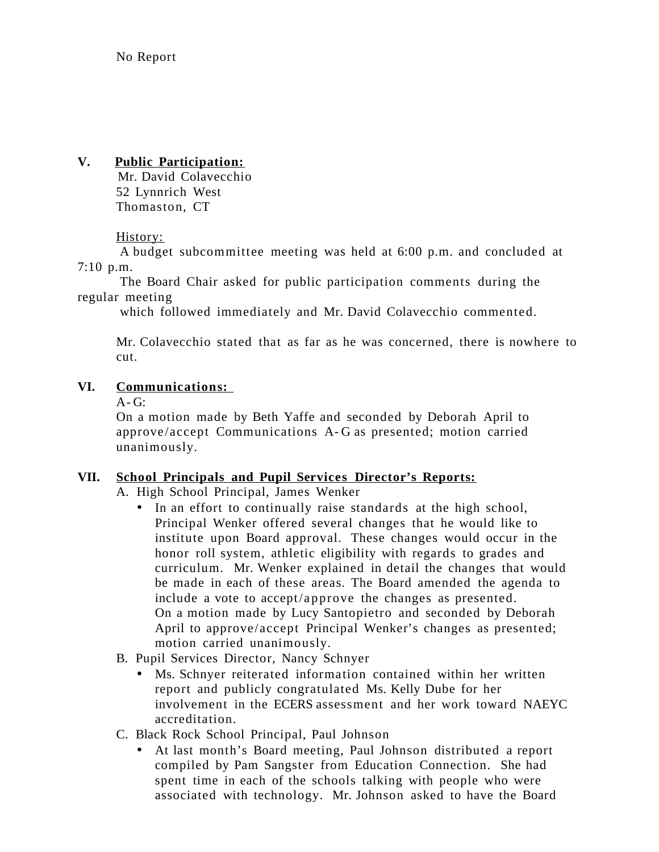# **V. Public Participation:**

Mr. David Colavecchio 52 Lynnrich West Thomaston, CT

# History:

A budget subcommittee meeting was held at 6:00 p.m. and concluded at 7:10 p.m.

The Board Chair asked for public participation comments during the regular meeting

which followed immediately and Mr. David Colavecchio commented.

Mr. Colavecchio stated that as far as he was concerned, there is nowhere to cut.

# **VI. Communications:**

 $A - G$ :

On a motion made by Beth Yaffe and seconded by Deborah April to approve /accept Communications A- G as presented; motion carried unanimously.

## **VII. School Principals and Pupil Services Director's Reports:**

A. High School Principal, James Wenker

• In an effort to continually raise standards at the high school, Principal Wenker offered several changes that he would like to institute upon Board approval. These changes would occur in the honor roll system, athletic eligibility with regards to grades and curriculum. Mr. Wenker explained in detail the changes that would be made in each of these areas. The Board amended the agenda to include a vote to accept/approve the changes as presented. On a motion made by Lucy Santopietro and seconded by Deborah April to approve/accept Principal Wenker's changes as presented; motion carried unanimously.

## B. Pupil Services Director, Nancy Schnyer

- Ms. Schnyer reiterated information contained within her written report and publicly congratulated Ms. Kelly Dube for her involvement in the ECERS assessment and her work toward NAEYC accreditation.
- C. Black Rock School Principal, Paul Johnson
	- At last month's Board meeting, Paul Johnson distributed a report compiled by Pam Sangster from Education Connection. She had spent time in each of the schools talking with people who were associated with technology. Mr. Johnson asked to have the Board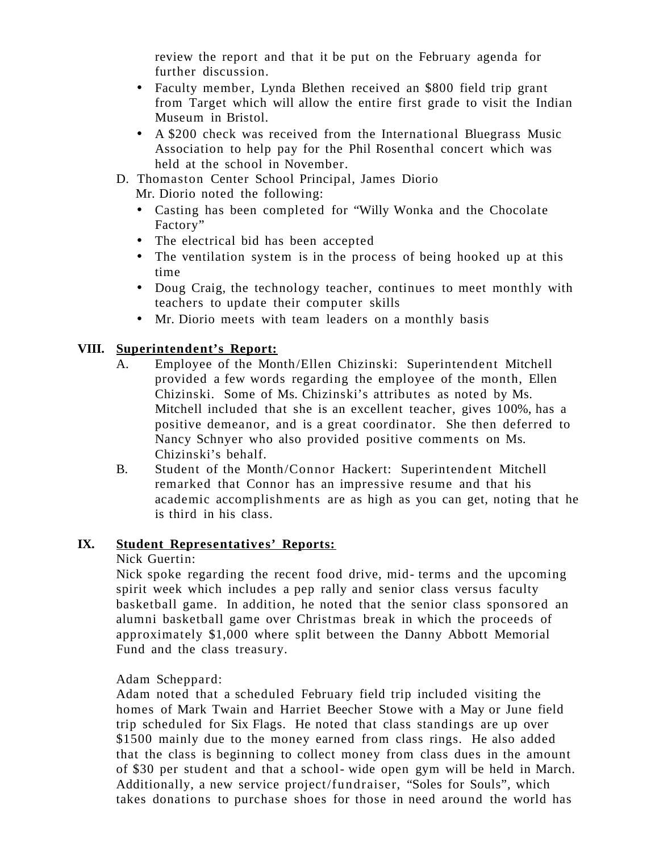review the report and that it be put on the February agenda for further discussion.

- Faculty member, Lynda Blethen received an \$800 field trip grant from Target which will allow the entire first grade to visit the Indian Museum in Bristol.
- A \$200 check was received from the International Bluegrass Music Association to help pay for the Phil Rosenthal concert which was held at the school in November.
- D. Thomaston Center School Principal, James Diorio

Mr. Diorio noted the following:

- Casting has been completed for "Willy Wonka and the Chocolate Factory"
- The electrical bid has been accepted
- The ventilation system is in the process of being hooked up at this time
- Doug Craig, the technology teacher, continues to meet monthly with teachers to update their computer skills
- Mr. Diorio meets with team leaders on a monthly basis

# **VIII. Superintendent's Report:**

- A. Employee of the Month/Ellen Chizinski: Superintendent Mitchell provided a few words regarding the employee of the month, Ellen Chizinski. Some of Ms. Chizinski's attributes as noted by Ms. Mitchell included that she is an excellent teacher, gives 100%, has a positive demeanor, and is a great coordinator. She then deferred to Nancy Schnyer who also provided positive comments on Ms. Chizinski's behalf.
- B. Student of the Month/Connor Hackert: Superintendent Mitchell remarked that Connor has an impressive resume and that his academic accomplishments are as high as you can get, noting that he is third in his class.

## **IX. Student Representatives' Reports:**

Nick Guertin:

Nick spoke regarding the recent food drive, mid- terms and the upcoming spirit week which includes a pep rally and senior class versus faculty basketball game. In addition, he noted that the senior class sponsored an alumni basketball game over Christmas break in which the proceeds of approximately \$1,000 where split between the Danny Abbott Memorial Fund and the class treasury.

## Adam Scheppard:

Adam noted that a scheduled February field trip included visiting the homes of Mark Twain and Harriet Beecher Stowe with a May or June field trip scheduled for Six Flags. He noted that class standings are up over \$1500 mainly due to the money earned from class rings. He also added that the class is beginning to collect money from class dues in the amount of \$30 per student and that a school- wide open gym will be held in March. Additionally, a new service project/fundraiser, "Soles for Souls", which takes donations to purchase shoes for those in need around the world has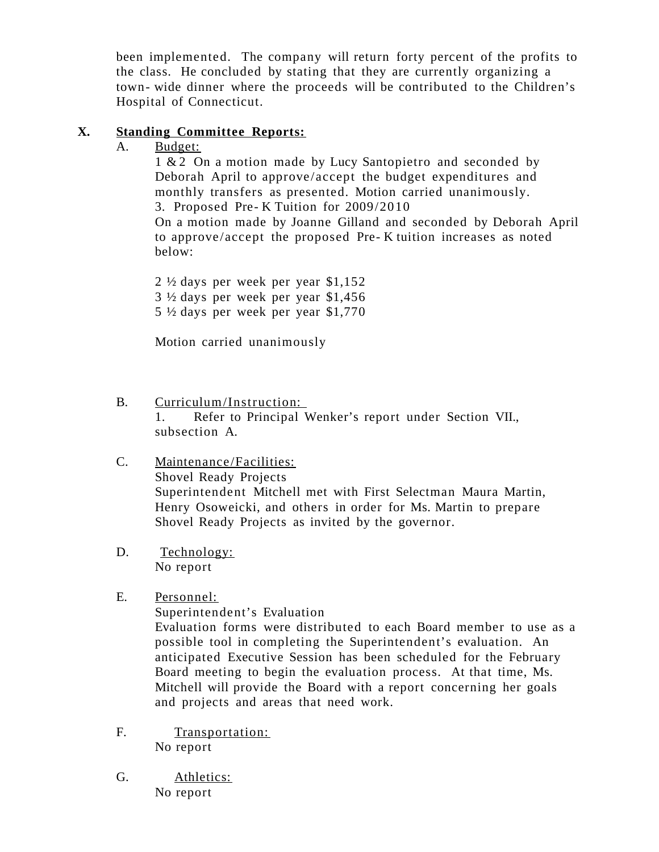been implemented. The company will return forty percent of the profits to the class. He concluded by stating that they are currently organizing a town- wide dinner where the proceeds will be contributed to the Children's Hospital of Connecticut.

# **X. Standing Committee Reports:**

# A. Budget:

1 & 2 On a motion made by Lucy Santopietro and seconded by Deborah April to approve/accept the budget expenditures and monthly transfers as presented. Motion carried unanimously. 3. Proposed Pre- K Tuition for 2009/2010

On a motion made by Joanne Gilland and seconded by Deborah April to approve /accept the proposed Pre- K tuition increases as noted below:

2 ½ days per week per year \$1,152 3 ½ days per week per year \$1,456 5 ½ days per week per year \$1,770

Motion carried unanimously

B. Curriculum/Instruction:

1. Refer to Principal Wenker's report under Section VII., subsection A.

- C. Maintenance /Facilities: Shovel Ready Projects Superintendent Mitchell met with First Selectman Maura Martin, Henry Osoweicki, and others in order for Ms. Martin to prepare Shovel Ready Projects as invited by the governor.
- D. Technology: No report
- E. Personnel:

Superintendent's Evaluation

Evaluation forms were distributed to each Board member to use as a possible tool in completing the Superintendent's evaluation. An anticipated Executive Session has been scheduled for the February Board meeting to begin the evaluation process. At that time, Ms. Mitchell will provide the Board with a report concerning her goals and projects and areas that need work.

- F. Transportation: No report
- G. Athletics: No report